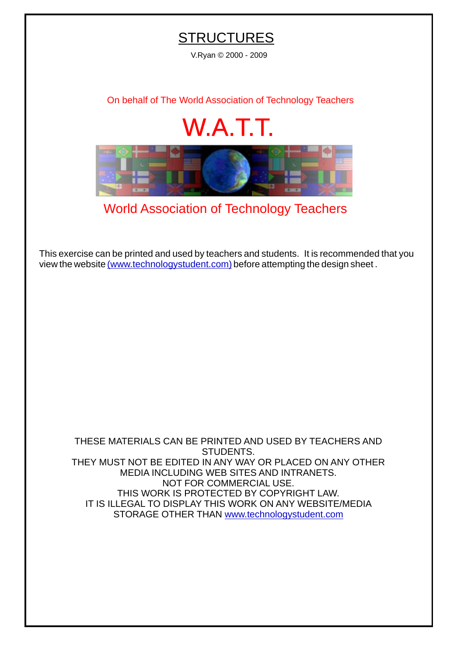## **STRUCTURES**

V.Ryan © 2000 - 2009

[On behalf of The World Association of Technology Teachers](http://www.technologystudent.com)

## W.A.T.T.



[World Association of Technology Teachers](http://www.technologystudent.com)

[This exercise can be printed and used by teachers and students. It is recommended that you](http://www.technologystudent.com/designpro/drawdex.htm) view the website [\(www.technologystudent.com\)](http://www.technologystudent.com) before attempting the design sheet .

THESE MATERIALS CAN BE PRINTED AND USED BY TEACHERS AND STUDENTS. THEY MUST NOT BE EDITED IN ANY WAY OR PLACED ON ANY OTHER MEDIA INCLUDING WEB SITES AND INTRANETS. NOT FOR COMMERCIAL USE. THIS WORK IS PROTECTED BY COPYRIGHT LAW. IT IS ILLEGAL TO DISPLAY THIS WORK ON ANY WEBSITE/MEDIA STORAGE OTHER THAN [www.technologystudent.com](http://www.technologystudent.com)